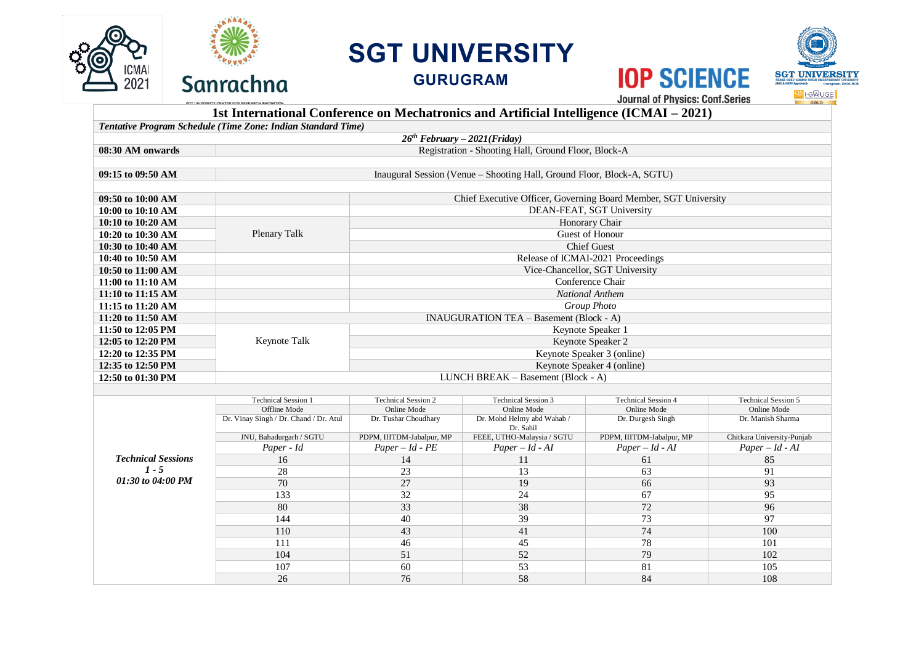

## **SGT UNIVERSITY**

**GURUGRAM**



GOLD

**IOP SCIENCE Journal of Physics: Conf.Series** 

## **1st International Conference on Mechatronics and Artificial Intelligence (ICMAI – 2021)**

|                                | Tentative Program Schedule (Time Zone: Indian Standard Time)           |                                                                 |  |  |  |  |  |
|--------------------------------|------------------------------------------------------------------------|-----------------------------------------------------------------|--|--|--|--|--|
| $26th$ February – 2021(Friday) |                                                                        |                                                                 |  |  |  |  |  |
| 08:30 AM onwards               |                                                                        | Registration - Shooting Hall, Ground Floor, Block-A             |  |  |  |  |  |
|                                |                                                                        |                                                                 |  |  |  |  |  |
| 09:15 to 09:50 AM              | Inaugural Session (Venue - Shooting Hall, Ground Floor, Block-A, SGTU) |                                                                 |  |  |  |  |  |
|                                |                                                                        |                                                                 |  |  |  |  |  |
| 09:50 to 10:00 AM              |                                                                        | Chief Executive Officer, Governing Board Member, SGT University |  |  |  |  |  |
| 10:00 to 10:10 AM              |                                                                        | DEAN-FEAT, SGT University                                       |  |  |  |  |  |
| 10:10 to 10:20 AM              | Plenary Talk                                                           | Honorary Chair                                                  |  |  |  |  |  |
| 10:20 to 10:30 AM              |                                                                        | Guest of Honour                                                 |  |  |  |  |  |
| 10:30 to 10:40 AM              |                                                                        | <b>Chief Guest</b>                                              |  |  |  |  |  |
| 10:40 to 10:50 AM              |                                                                        | Release of ICMAI-2021 Proceedings                               |  |  |  |  |  |
| 10:50 to 11:00 AM              |                                                                        | Vice-Chancellor, SGT University                                 |  |  |  |  |  |
| 11:00 to 11:10 AM              |                                                                        | Conference Chair                                                |  |  |  |  |  |
| 11:10 to $11:15$ AM            |                                                                        | <b>National Anthem</b>                                          |  |  |  |  |  |
| 11:15 to 11:20 AM              |                                                                        | Group Photo                                                     |  |  |  |  |  |
| 11:20 to 11:50 AM              | <b>INAUGURATION TEA - Basement (Block - A)</b>                         |                                                                 |  |  |  |  |  |
| 11:50 to 12:05 PM              |                                                                        | Keynote Speaker 1                                               |  |  |  |  |  |
| 12:05 to 12:20 PM              | Keynote Talk                                                           | Keynote Speaker 2                                               |  |  |  |  |  |
| 12:20 to 12:35 PM              |                                                                        | Keynote Speaker 3 (online)                                      |  |  |  |  |  |
| 12:35 to 12:50 PM              |                                                                        | Keynote Speaker 4 (online)                                      |  |  |  |  |  |
| 12:50 to 01:30 PM              | LUNCH BREAK - Basement (Block - A)                                     |                                                                 |  |  |  |  |  |
|                                |                                                                        |                                                                 |  |  |  |  |  |
|                                | <del>.</del>                                                           | <b><del>mandalens</del></b><br>--------                         |  |  |  |  |  |

|                                                           | <b>Technical Session 1</b>             | <b>Technical Session 2</b> | <b>Technical Session 3</b> | <b>Technical Session 4</b> | <b>Technical Session 5</b> |
|-----------------------------------------------------------|----------------------------------------|----------------------------|----------------------------|----------------------------|----------------------------|
| <b>Technical Sessions</b><br>$1 - 5$<br>01:30 to 04:00 PM | Offline Mode                           | Online Mode                | Online Mode                | Online Mode                | Online Mode                |
|                                                           | Dr. Vinay Singh / Dr. Chand / Dr. Atul | Dr. Tushar Choudhary       | Dr. Mohd Helmy abd Wahab / | Dr. Durgesh Singh          | Dr. Manish Sharma          |
|                                                           |                                        |                            | Dr. Sahil                  |                            |                            |
|                                                           | JNU, Bahadurgarh / SGTU                | PDPM, IIITDM-Jabalpur, MP  | FEEE, UTHO-Malaysia / SGTU | PDPM, IIITDM-Jabalpur, MP  | Chitkara University-Punjab |
|                                                           | Paper - Id                             | $Paper - Id - PE$          | $Paper - Id - AI$          | $Paper - Id - AI$          | $Paper - Id - AI$          |
|                                                           | 16                                     | 14                         | $\mathbf{L}$               | -61                        | 85                         |
|                                                           | 28                                     | 23                         | 13                         | 63                         | 91                         |
|                                                           | 70                                     | 27                         | 19                         | 66                         | 93                         |
|                                                           | 133                                    | 32                         | 24                         | 67                         | 95                         |
|                                                           | 80                                     | 33                         | 38                         | 72                         | 96                         |
|                                                           | 144                                    | 40                         | 39                         | 73                         | 97                         |
|                                                           | 110                                    | 43                         | 41                         | 74                         | 100                        |
|                                                           | 111                                    | 46                         | 45                         | 78                         | 101                        |
|                                                           | 104                                    | 51                         | 52                         | 79                         | 102                        |
|                                                           | 107                                    | 60                         | 53                         | 81                         | 105                        |
|                                                           | 26                                     | 76                         | 58                         | 84                         | 108                        |